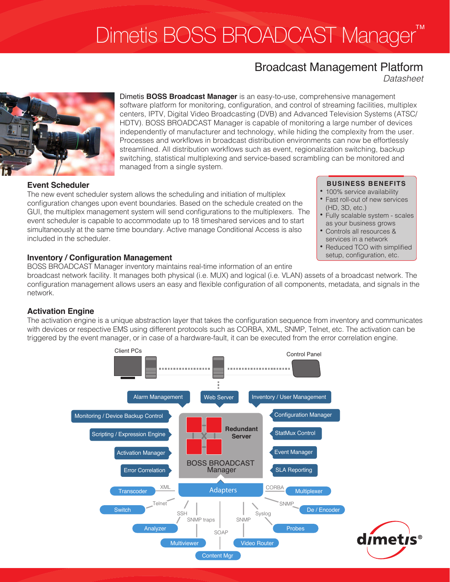# Dimetis BOSS BROADCAST Manager™

## Broadcast Management Platform

*Datasheet*



Dimetis **BOSS Broadcast Manager** is an easy-to-use, comprehensive management software platform for monitoring, configuration, and control of streaming facilities, multiplex centers, IPTV, Digital Video Broadcasting (DVB) and Advanced Television Systems (ATSC/ HDTV). BOSS BROADCAST Manager is capable of monitoring a large number of devices independently of manufacturer and technology, while hiding the complexity from the user. Processes and workflows in broadcast distribution environments can now be effortlessly streamlined. All distribution workflows such as event, regionalization switching, backup switching, statistical multiplexing and service-based scrambling can be monitored and managed from a single system.

#### **Event Scheduler**

The new event scheduler system allows the scheduling and initiation of multiplex configuration changes upon event boundaries. Based on the schedule created on the GUI, the multiplex management system will send configurations to the multiplexers. The event scheduler is capable to accommodate up to 18 timeshared services and to start simultaneously at the same time boundary. Active manage Conditional Access is also included in the scheduler.

### **Inventory / Configuration Management**

BOSS BROADCAST Manager inventory maintains real-time information of an entire

broadcast network facility. It manages both physical (i.e. MUX) and logical (i.e. VLAN) assets of a broadcast network. The configuration management allows users an easy and flexible configuration of all components, metadata, and signals in the network.

### **Activation Engine**

The activation engine is a unique abstraction layer that takes the configuration sequence from inventory and communicates with devices or respective EMS using different protocols such as CORBA, XML, SNMP, Telnet, etc. The activation can be triggered by the event manager, or in case of a hardware-fault, it can be executed from the error correlation engine.



### **BUSINESS BENEFITS**

- 100% service availability
- Fast roll-out of new services (HD, 3D, etc.)
- Fully scalable system scales as your business grows
- • Controls all resources & services in a network
- Reduced TCO with simplified setup, configuration, etc.